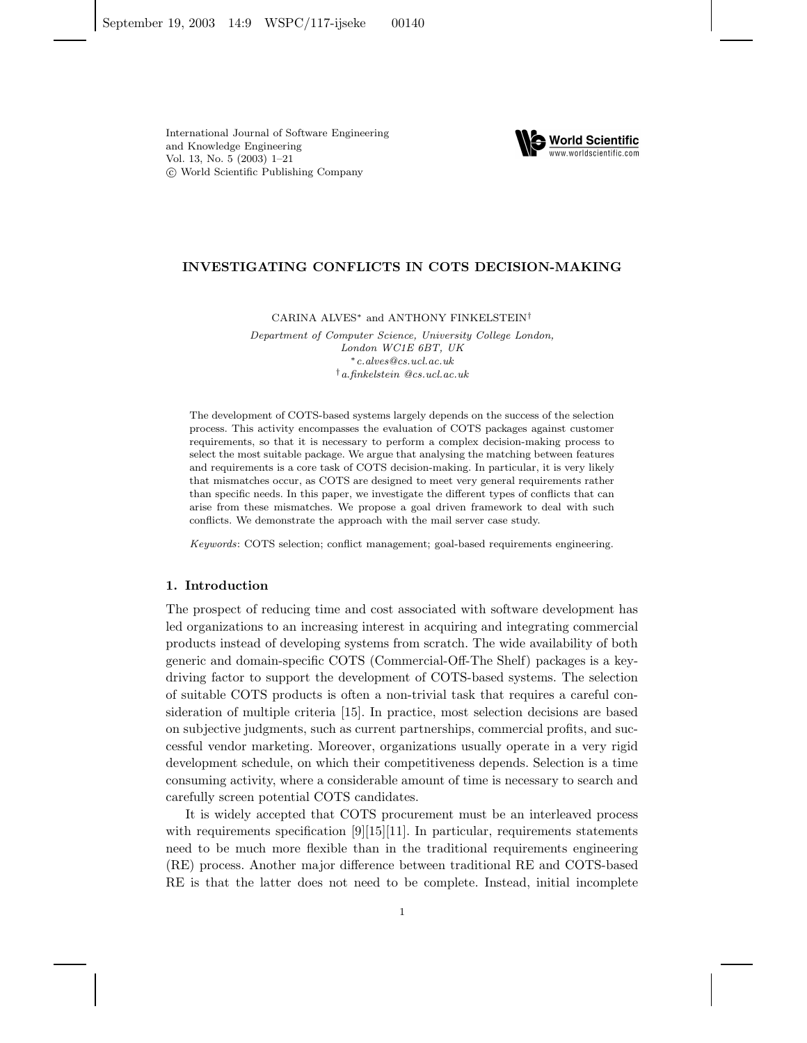International Journal of Software Engineering and Knowledge Engineering Vol. 13, No. 5 (2003) 1–21 c World Scientific Publishing Company



### INVESTIGATING CONFLICTS IN COTS DECISION-MAKING

CARINA ALVES<sup>∗</sup> and ANTHONY FINKELSTEIN†

Department of Computer Science, University College London, London WC1E 6BT, UK <sup>∗</sup>c.alves@cs.ucl.ac.uk †a.finkelstein @cs.ucl.ac.uk

The development of COTS-based systems largely depends on the success of the selection process. This activity encompasses the evaluation of COTS packages against customer requirements, so that it is necessary to perform a complex decision-making process to select the most suitable package. We argue that analysing the matching between features and requirements is a core task of COTS decision-making. In particular, it is very likely that mismatches occur, as COTS are designed to meet very general requirements rather than specific needs. In this paper, we investigate the different types of conflicts that can arise from these mismatches. We propose a goal driven framework to deal with such conflicts. We demonstrate the approach with the mail server case study.

Keywords: COTS selection; conflict management; goal-based requirements engineering.

## 1. Introduction

The prospect of reducing time and cost associated with software development has led organizations to an increasing interest in acquiring and integrating commercial products instead of developing systems from scratch. The wide availability of both generic and domain-specific COTS (Commercial-Off-The Shelf) packages is a keydriving factor to support the development of COTS-based systems. The selection of suitable COTS products is often a non-trivial task that requires a careful consideration of multiple criteria [15]. In practice, most selection decisions are based on subjective judgments, such as current partnerships, commercial profits, and successful vendor marketing. Moreover, organizations usually operate in a very rigid development schedule, on which their competitiveness depends. Selection is a time consuming activity, where a considerable amount of time is necessary to search and carefully screen potential COTS candidates.

It is widely accepted that COTS procurement must be an interleaved process with requirements specification  $[9][15][11]$ . In particular, requirements statements need to be much more flexible than in the traditional requirements engineering (RE) process. Another major difference between traditional RE and COTS-based RE is that the latter does not need to be complete. Instead, initial incomplete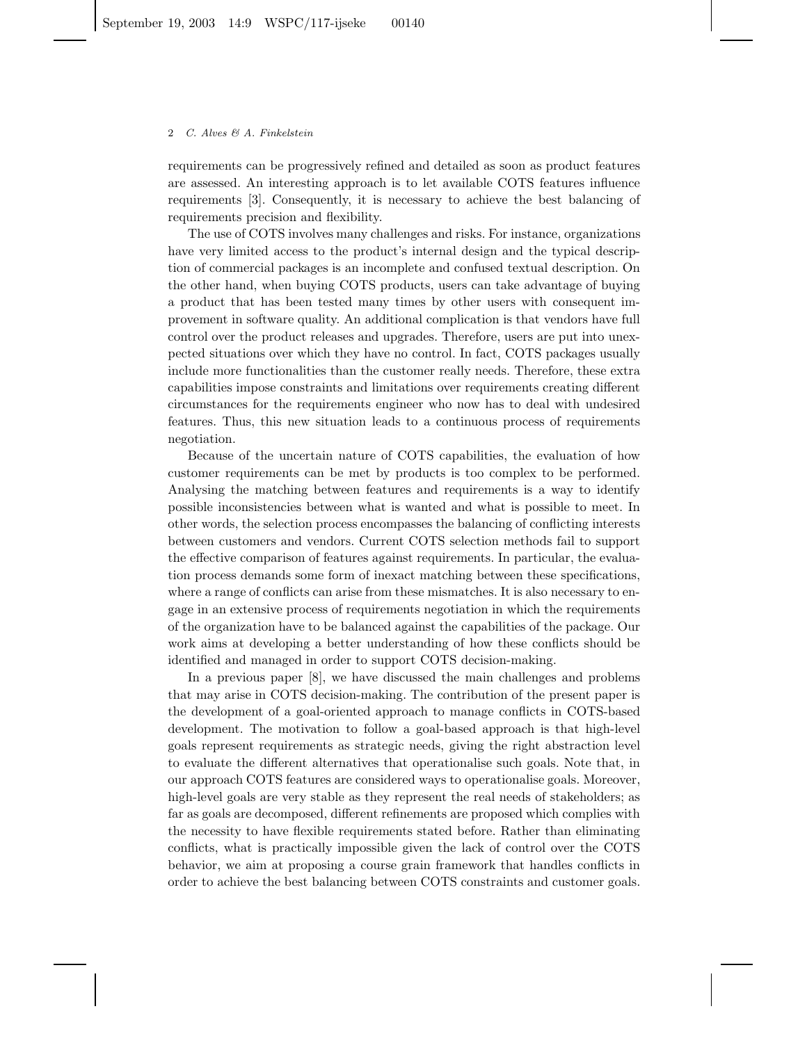requirements can be progressively refined and detailed as soon as product features are assessed. An interesting approach is to let available COTS features influence requirements [3]. Consequently, it is necessary to achieve the best balancing of requirements precision and flexibility.

The use of COTS involves many challenges and risks. For instance, organizations have very limited access to the product's internal design and the typical description of commercial packages is an incomplete and confused textual description. On the other hand, when buying COTS products, users can take advantage of buying a product that has been tested many times by other users with consequent improvement in software quality. An additional complication is that vendors have full control over the product releases and upgrades. Therefore, users are put into unexpected situations over which they have no control. In fact, COTS packages usually include more functionalities than the customer really needs. Therefore, these extra capabilities impose constraints and limitations over requirements creating different circumstances for the requirements engineer who now has to deal with undesired features. Thus, this new situation leads to a continuous process of requirements negotiation.

Because of the uncertain nature of COTS capabilities, the evaluation of how customer requirements can be met by products is too complex to be performed. Analysing the matching between features and requirements is a way to identify possible inconsistencies between what is wanted and what is possible to meet. In other words, the selection process encompasses the balancing of conflicting interests between customers and vendors. Current COTS selection methods fail to support the effective comparison of features against requirements. In particular, the evaluation process demands some form of inexact matching between these specifications, where a range of conflicts can arise from these mismatches. It is also necessary to engage in an extensive process of requirements negotiation in which the requirements of the organization have to be balanced against the capabilities of the package. Our work aims at developing a better understanding of how these conflicts should be identified and managed in order to support COTS decision-making.

In a previous paper [8], we have discussed the main challenges and problems that may arise in COTS decision-making. The contribution of the present paper is the development of a goal-oriented approach to manage conflicts in COTS-based development. The motivation to follow a goal-based approach is that high-level goals represent requirements as strategic needs, giving the right abstraction level to evaluate the different alternatives that operationalise such goals. Note that, in our approach COTS features are considered ways to operationalise goals. Moreover, high-level goals are very stable as they represent the real needs of stakeholders; as far as goals are decomposed, different refinements are proposed which complies with the necessity to have flexible requirements stated before. Rather than eliminating conflicts, what is practically impossible given the lack of control over the COTS behavior, we aim at proposing a course grain framework that handles conflicts in order to achieve the best balancing between COTS constraints and customer goals.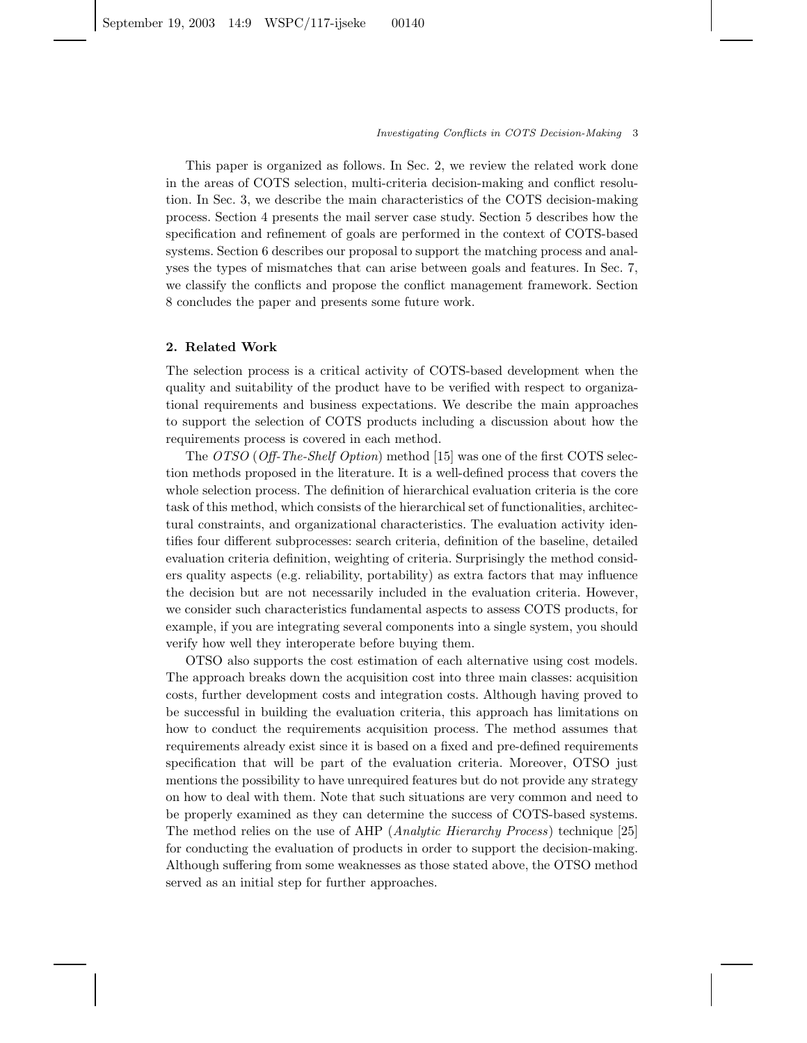This paper is organized as follows. In Sec. 2, we review the related work done in the areas of COTS selection, multi-criteria decision-making and conflict resolution. In Sec. 3, we describe the main characteristics of the COTS decision-making process. Section 4 presents the mail server case study. Section 5 describes how the specification and refinement of goals are performed in the context of COTS-based systems. Section 6 describes our proposal to support the matching process and analyses the types of mismatches that can arise between goals and features. In Sec. 7, we classify the conflicts and propose the conflict management framework. Section 8 concludes the paper and presents some future work.

## 2. Related Work

The selection process is a critical activity of COTS-based development when the quality and suitability of the product have to be verified with respect to organizational requirements and business expectations. We describe the main approaches to support the selection of COTS products including a discussion about how the requirements process is covered in each method.

The *OTSO* (*Off-The-Shelf Option*) method [15] was one of the first COTS selection methods proposed in the literature. It is a well-defined process that covers the whole selection process. The definition of hierarchical evaluation criteria is the core task of this method, which consists of the hierarchical set of functionalities, architectural constraints, and organizational characteristics. The evaluation activity identifies four different subprocesses: search criteria, definition of the baseline, detailed evaluation criteria definition, weighting of criteria. Surprisingly the method considers quality aspects (e.g. reliability, portability) as extra factors that may influence the decision but are not necessarily included in the evaluation criteria. However, we consider such characteristics fundamental aspects to assess COTS products, for example, if you are integrating several components into a single system, you should verify how well they interoperate before buying them.

OTSO also supports the cost estimation of each alternative using cost models. The approach breaks down the acquisition cost into three main classes: acquisition costs, further development costs and integration costs. Although having proved to be successful in building the evaluation criteria, this approach has limitations on how to conduct the requirements acquisition process. The method assumes that requirements already exist since it is based on a fixed and pre-defined requirements specification that will be part of the evaluation criteria. Moreover, OTSO just mentions the possibility to have unrequired features but do not provide any strategy on how to deal with them. Note that such situations are very common and need to be properly examined as they can determine the success of COTS-based systems. The method relies on the use of AHP (Analytic Hierarchy Process) technique [25] for conducting the evaluation of products in order to support the decision-making. Although suffering from some weaknesses as those stated above, the OTSO method served as an initial step for further approaches.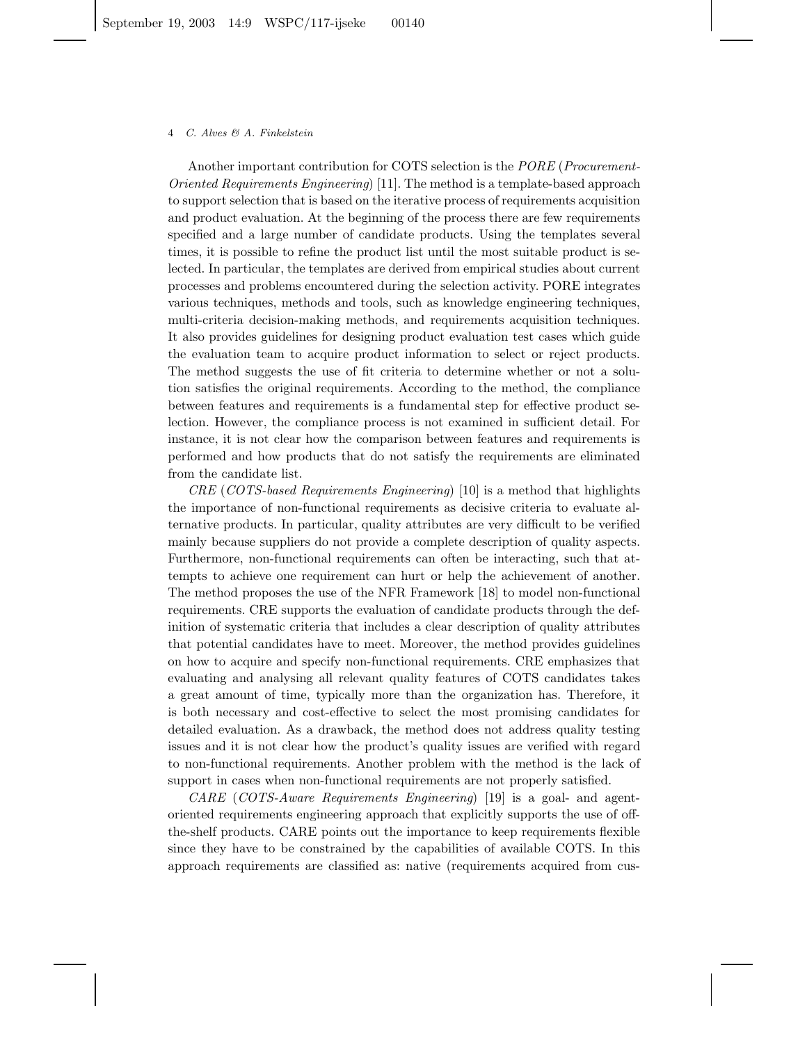Another important contribution for COTS selection is the PORE (Procurement-*Oriented Requirements Engineering* [11]. The method is a template-based approach to support selection that is based on the iterative process of requirements acquisition and product evaluation. At the beginning of the process there are few requirements specified and a large number of candidate products. Using the templates several times, it is possible to refine the product list until the most suitable product is selected. In particular, the templates are derived from empirical studies about current processes and problems encountered during the selection activity. PORE integrates various techniques, methods and tools, such as knowledge engineering techniques, multi-criteria decision-making methods, and requirements acquisition techniques. It also provides guidelines for designing product evaluation test cases which guide the evaluation team to acquire product information to select or reject products. The method suggests the use of fit criteria to determine whether or not a solution satisfies the original requirements. According to the method, the compliance between features and requirements is a fundamental step for effective product selection. However, the compliance process is not examined in sufficient detail. For instance, it is not clear how the comparison between features and requirements is performed and how products that do not satisfy the requirements are eliminated from the candidate list.

CRE (COTS-based Requirements Engineering) [10] is a method that highlights the importance of non-functional requirements as decisive criteria to evaluate alternative products. In particular, quality attributes are very difficult to be verified mainly because suppliers do not provide a complete description of quality aspects. Furthermore, non-functional requirements can often be interacting, such that attempts to achieve one requirement can hurt or help the achievement of another. The method proposes the use of the NFR Framework [18] to model non-functional requirements. CRE supports the evaluation of candidate products through the definition of systematic criteria that includes a clear description of quality attributes that potential candidates have to meet. Moreover, the method provides guidelines on how to acquire and specify non-functional requirements. CRE emphasizes that evaluating and analysing all relevant quality features of COTS candidates takes a great amount of time, typically more than the organization has. Therefore, it is both necessary and cost-effective to select the most promising candidates for detailed evaluation. As a drawback, the method does not address quality testing issues and it is not clear how the product's quality issues are verified with regard to non-functional requirements. Another problem with the method is the lack of support in cases when non-functional requirements are not properly satisfied.

CARE (COTS-Aware Requirements Engineering) [19] is a goal- and agentoriented requirements engineering approach that explicitly supports the use of offthe-shelf products. CARE points out the importance to keep requirements flexible since they have to be constrained by the capabilities of available COTS. In this approach requirements are classified as: native (requirements acquired from cus-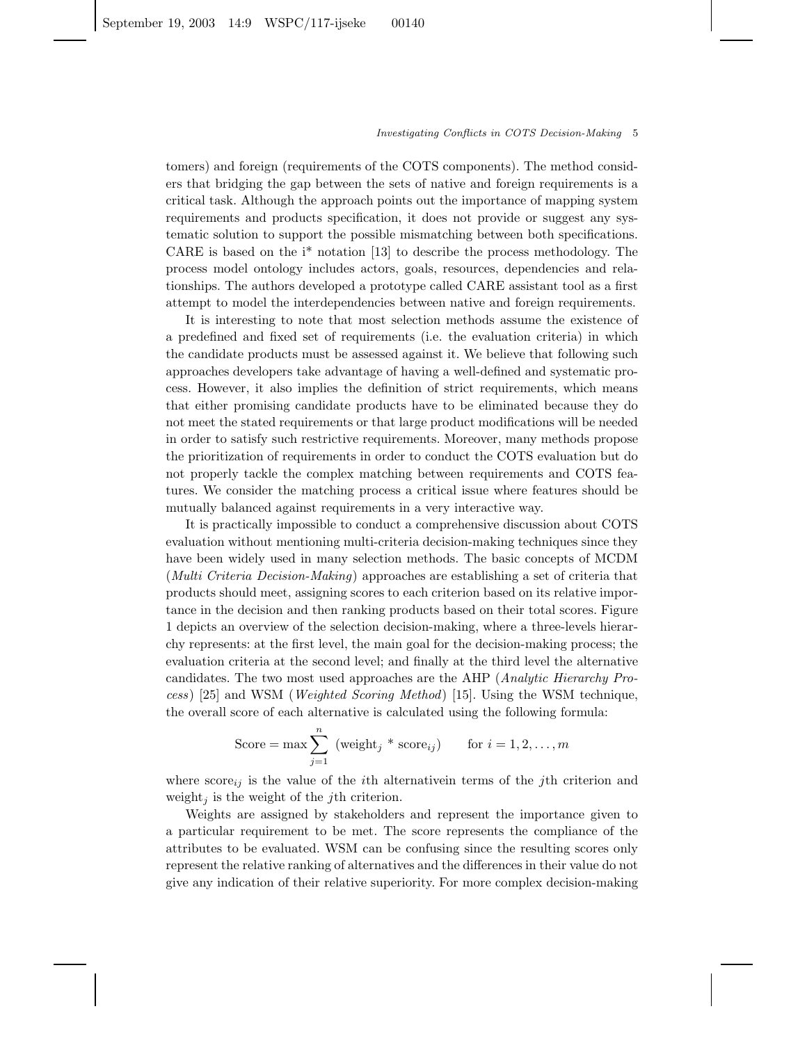tomers) and foreign (requirements of the COTS components). The method considers that bridging the gap between the sets of native and foreign requirements is a critical task. Although the approach points out the importance of mapping system requirements and products specification, it does not provide or suggest any systematic solution to support the possible mismatching between both specifications. CARE is based on the i\* notation [13] to describe the process methodology. The process model ontology includes actors, goals, resources, dependencies and relationships. The authors developed a prototype called CARE assistant tool as a first attempt to model the interdependencies between native and foreign requirements.

It is interesting to note that most selection methods assume the existence of a predefined and fixed set of requirements (i.e. the evaluation criteria) in which the candidate products must be assessed against it. We believe that following such approaches developers take advantage of having a well-defined and systematic process. However, it also implies the definition of strict requirements, which means that either promising candidate products have to be eliminated because they do not meet the stated requirements or that large product modifications will be needed in order to satisfy such restrictive requirements. Moreover, many methods propose the prioritization of requirements in order to conduct the COTS evaluation but do not properly tackle the complex matching between requirements and COTS features. We consider the matching process a critical issue where features should be mutually balanced against requirements in a very interactive way.

It is practically impossible to conduct a comprehensive discussion about COTS evaluation without mentioning multi-criteria decision-making techniques since they have been widely used in many selection methods. The basic concepts of MCDM (Multi Criteria Decision-Making) approaches are establishing a set of criteria that products should meet, assigning scores to each criterion based on its relative importance in the decision and then ranking products based on their total scores. Figure 1 depicts an overview of the selection decision-making, where a three-levels hierarchy represents: at the first level, the main goal for the decision-making process; the evaluation criteria at the second level; and finally at the third level the alternative candidates. The two most used approaches are the AHP (Analytic Hierarchy Process) [25] and WSM (Weighted Scoring Method) [15]. Using the WSM technique, the overall score of each alternative is calculated using the following formula:

Score = max 
$$
\sum_{j=1}^{n}
$$
 (weight<sub>j</sub> \* score<sub>ij</sub>) for  $i = 1, 2, ..., m$ 

where  $score_{ij}$  is the value of the *i*th alternativein terms of the *j*th criterion and weight<sub>i</sub> is the weight of the jth criterion.

Weights are assigned by stakeholders and represent the importance given to a particular requirement to be met. The score represents the compliance of the attributes to be evaluated. WSM can be confusing since the resulting scores only represent the relative ranking of alternatives and the differences in their value do not give any indication of their relative superiority. For more complex decision-making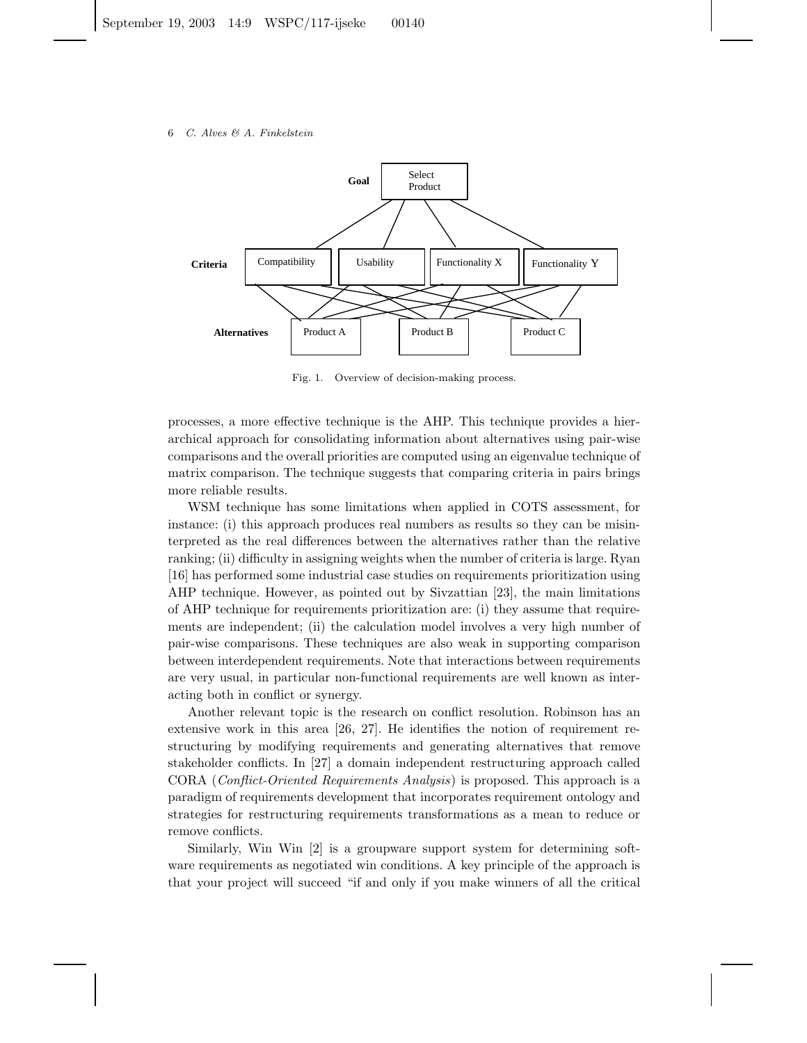6 C. Alves  $\mathcal{C}$  A. Finkelstein



Fig. 1. Overview of decision-making process.

 $\alpha$  is a  $\alpha$ ,  $\alpha$ ,  $\beta$ ,  $\beta$ ,  $\beta$ ,  $\beta$ ,  $\beta$ ,  $\beta$ ,  $\beta$ ,  $\beta$ ,  $\beta$ ,  $\beta$ ,  $\beta$ ,  $\beta$ ,  $\beta$ ,  $\beta$ ,  $\beta$ ,  $\beta$ ,  $\beta$ ,  $\beta$ ,  $\beta$ ,  $\beta$ ,  $\beta$ ,  $\beta$ ,  $\beta$ ,  $\beta$ ,  $\beta$ ,  $\beta$ ,  $\beta$ ,  $\beta$ ,  $\beta$ ,  $\beta$ ,  $\beta$ ,  $\beta$ ,  $\beta$ , processes, a more effective technique is the AHP. This technique provides a hierarchical approach for consolidating information about alternatives using pair-wise comparisons and the overall priorities are computed using an eigenvalue technique of matrix comparison. The technique suggests that comparing criteria in pairs brings more reliable results.

WSM technique has some limitations when applied in COTS assessment, for instance: (i) this approach produces real numbers as results so they can be misinterpreted as the real differences between the alternatives rather than the relative ranking; (ii) difficulty in assigning weights when the number of criteria is large. Ryan  $[16]$  has performed some industrial case studies on requirements prioritization using steps approach for state individual case states on requirements prioritization asing AHP technique. However, as pointed out by Sivzattian [23], the main limitations of AHP technique for requirements prioritization are: (i) they assume that requirements are independent; (ii) the calculation model involves a very high number of pair-wise comparisons. These techniques are also weak in supporting comparison between interdependent requirements. Note that interactions between requirements are very usual, in particular non-functional requirements are well known as interacting both in conflict or synergy. resolution of conflicts among them. Another work in inconsistency management,  $\alpha$ 

Another relevant topic is the research on conflict resolution. Robinson has an extensive work in this area  $[26, 27]$ . He identifies the notion of requirement restructuring by modifying requirements and generating alternatives that remove stakeholder conflicts. In [27] a domain independent restructuring approach called CORA (Conflict-Oriented Requirements Analysis) is proposed. This approach is a paradigm of requirements development that incorporates requirement ontology and strategies for restructuring requirements transformations as a mean to reduce or remove conflicts.

Similarly, Win Win [2] is a groupware support system for determining software requirements as negotiated win conditions. A key principle of the approach is that your project will succeed "if and only if you make winners of all the critical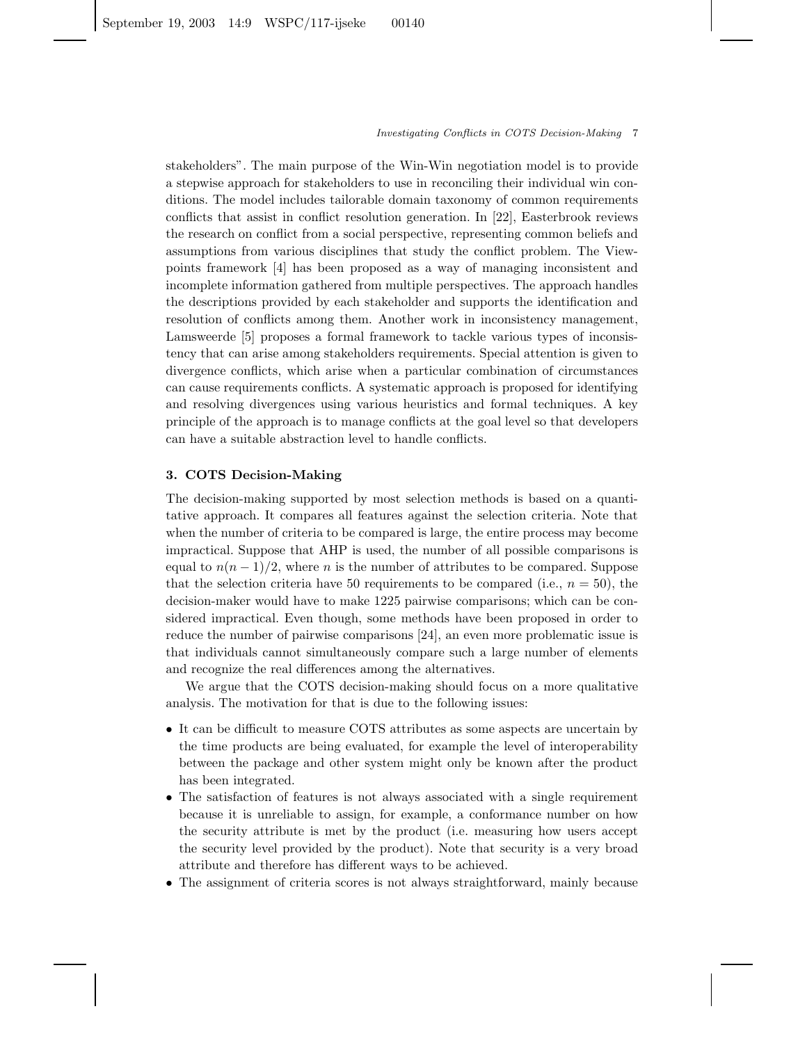stakeholders". The main purpose of the Win-Win negotiation model is to provide a stepwise approach for stakeholders to use in reconciling their individual win conditions. The model includes tailorable domain taxonomy of common requirements conflicts that assist in conflict resolution generation. In [22], Easterbrook reviews the research on conflict from a social perspective, representing common beliefs and assumptions from various disciplines that study the conflict problem. The Viewpoints framework [4] has been proposed as a way of managing inconsistent and incomplete information gathered from multiple perspectives. The approach handles the descriptions provided by each stakeholder and supports the identification and resolution of conflicts among them. Another work in inconsistency management, Lamsweerde [5] proposes a formal framework to tackle various types of inconsistency that can arise among stakeholders requirements. Special attention is given to divergence conflicts, which arise when a particular combination of circumstances can cause requirements conflicts. A systematic approach is proposed for identifying and resolving divergences using various heuristics and formal techniques. A key principle of the approach is to manage conflicts at the goal level so that developers can have a suitable abstraction level to handle conflicts.

### 3. COTS Decision-Making

The decision-making supported by most selection methods is based on a quantitative approach. It compares all features against the selection criteria. Note that when the number of criteria to be compared is large, the entire process may become impractical. Suppose that AHP is used, the number of all possible comparisons is equal to  $n(n-1)/2$ , where n is the number of attributes to be compared. Suppose that the selection criteria have 50 requirements to be compared (i.e.,  $n = 50$ ), the decision-maker would have to make 1225 pairwise comparisons; which can be considered impractical. Even though, some methods have been proposed in order to reduce the number of pairwise comparisons [24], an even more problematic issue is that individuals cannot simultaneously compare such a large number of elements and recognize the real differences among the alternatives.

We argue that the COTS decision-making should focus on a more qualitative analysis. The motivation for that is due to the following issues:

- It can be difficult to measure COTS attributes as some aspects are uncertain by the time products are being evaluated, for example the level of interoperability between the package and other system might only be known after the product has been integrated.
- The satisfaction of features is not always associated with a single requirement because it is unreliable to assign, for example, a conformance number on how the security attribute is met by the product (i.e. measuring how users accept the security level provided by the product). Note that security is a very broad attribute and therefore has different ways to be achieved.
- The assignment of criteria scores is not always straightforward, mainly because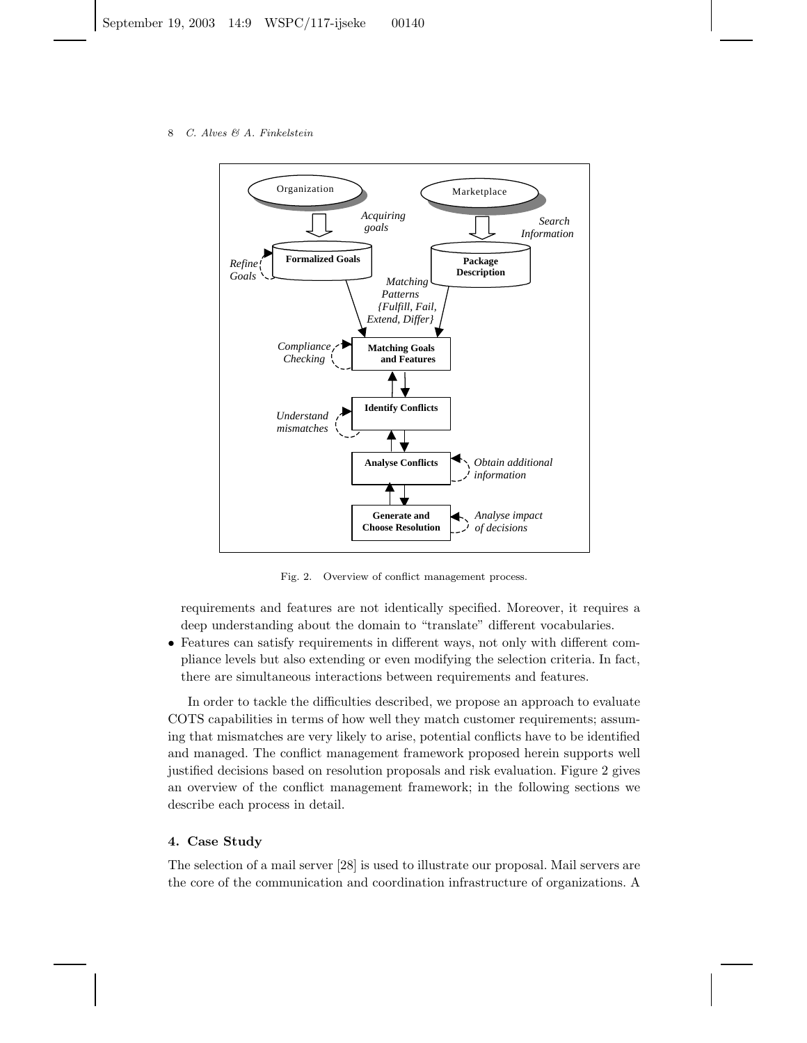8 C. Alves  $\mathcal B$  A. Finkelstein



Fig. 2. Overview of conflict management process.

requirements and features are not identically specified. Moreover, it requires a deep understanding about the domain to "translate" different vocabularies.

 $\bullet$  Features can satisfy requirements in different ways, not only with different comjustified decisions based on resolution proposals and risk evaluation proposals and risk evaluation. Figure 2 gives 2 gives 2 gives 2 gives 2 gives 2 gives 2 gives 2 gives 2 gives 2 gives 2 gives 2 gives 2 gives 2 gives 2 pliance levels but also extending or even modifying the selection criteria. In fact, there are simultaneous interactions between requirements and features.

COTS capabilities in terms of how well they match customer requirements; assuming that mismatches are very likely to arise, potential conflicts have to be identified and managed. The conflict management framework proposed herein supports well justified decisions based on resolution proposals and risk evaluation. Figure 2 gives an overview of the conflict management framework; in the following sections we describe each process in detail.  $\frac{1}{\sqrt{2}}$  and  $\frac{1}{\sqrt{2}}$  are the set of  $\frac{1}{\sqrt{2}}$  and  $\frac{1}{\sqrt{2}}$  and  $\frac{1}{\sqrt{2}}$  and  $\frac{1}{\sqrt{2}}$  and  $\frac{1}{\sqrt{2}}$  and  $\frac{1}{\sqrt{2}}$  and  $\frac{1}{\sqrt{2}}$  and  $\frac{1}{\sqrt{2}}$  and  $\frac{1}{\sqrt{2}}$  and  $\frac{1}{\sqrt{2}}$  and  $\frac{1}{$ In order to tackle the difficulties described, we propose an approach to evaluate

## 4. Case Study

The selection of a mail server [28] is used to illustrate our proposal. Mail servers are the core of the communication and coordination infrastructure of organizations. A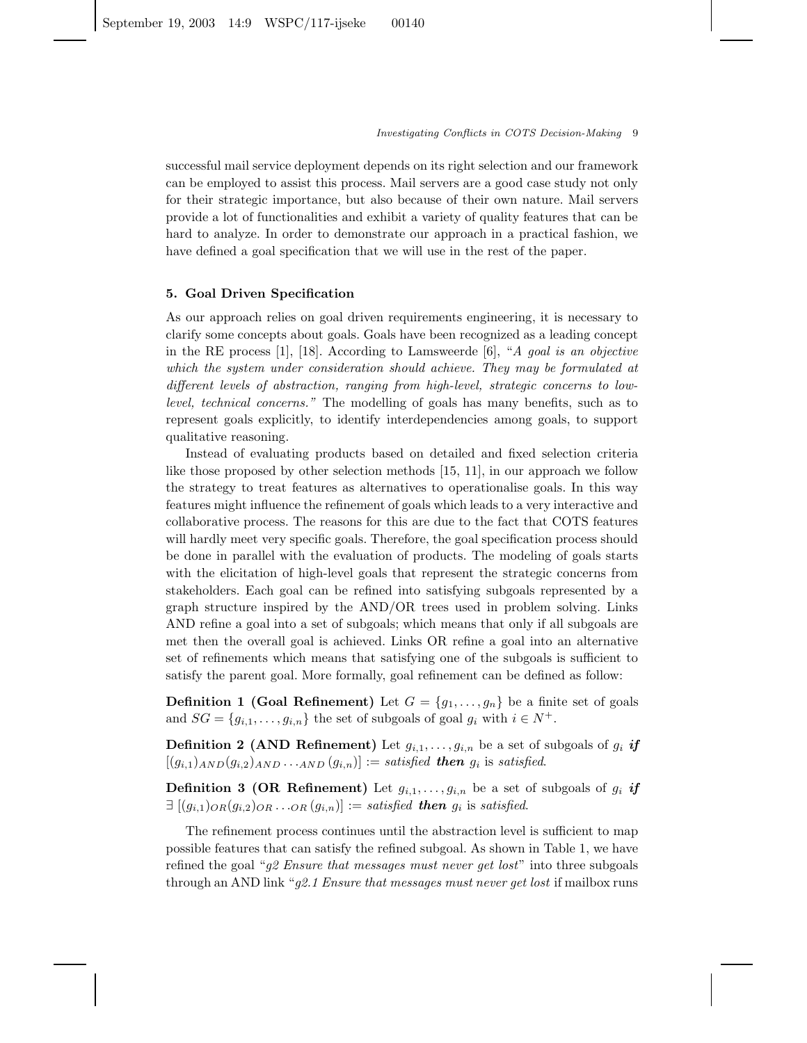successful mail service deployment depends on its right selection and our framework can be employed to assist this process. Mail servers are a good case study not only for their strategic importance, but also because of their own nature. Mail servers provide a lot of functionalities and exhibit a variety of quality features that can be hard to analyze. In order to demonstrate our approach in a practical fashion, we have defined a goal specification that we will use in the rest of the paper.

### 5. Goal Driven Specification

As our approach relies on goal driven requirements engineering, it is necessary to clarify some concepts about goals. Goals have been recognized as a leading concept in the RE process [1], [18]. According to Lamsweerde  $[6]$ , "A goal is an objective which the system under consideration should achieve. They may be formulated at different levels of abstraction, ranging from high-level, strategic concerns to lowlevel, technical concerns." The modelling of goals has many benefits, such as to represent goals explicitly, to identify interdependencies among goals, to support qualitative reasoning.

Instead of evaluating products based on detailed and fixed selection criteria like those proposed by other selection methods [15, 11], in our approach we follow the strategy to treat features as alternatives to operationalise goals. In this way features might influence the refinement of goals which leads to a very interactive and collaborative process. The reasons for this are due to the fact that COTS features will hardly meet very specific goals. Therefore, the goal specification process should be done in parallel with the evaluation of products. The modeling of goals starts with the elicitation of high-level goals that represent the strategic concerns from stakeholders. Each goal can be refined into satisfying subgoals represented by a graph structure inspired by the AND/OR trees used in problem solving. Links AND refine a goal into a set of subgoals; which means that only if all subgoals are met then the overall goal is achieved. Links OR refine a goal into an alternative set of refinements which means that satisfying one of the subgoals is sufficient to satisfy the parent goal. More formally, goal refinement can be defined as follow:

**Definition 1 (Goal Refinement)** Let  $G = \{g_1, \ldots, g_n\}$  be a finite set of goals and  $SG = \{g_{i,1}, \ldots, g_{i,n}\}\$  the set of subgoals of goal  $g_i$  with  $i \in N^+$ .

**Definition 2 (AND Refinement)** Let  $g_{i,1}, \ldots, g_{i,n}$  be a set of subgoals of  $g_i$  if  $[(g_{i,1})_{AND}(g_{i,2})_{AND} \ldots_{AND}(g_{i,n})] :=$  satisfied **then**  $g_i$  is satisfied.

**Definition 3 (OR Refinement)** Let  $g_{i,1}, \ldots, g_{i,n}$  be a set of subgoals of  $g_i$  if  $\exists [(g_{i,1})_{OR}(g_{i,2})_{OR} \dots \text{ or } (g_{i,n})] := satisfied$  then  $g_i$  is satisfied.

The refinement process continues until the abstraction level is sufficient to map possible features that can satisfy the refined subgoal. As shown in Table 1, we have refined the goal "q2 Ensure that messages must never get lost" into three subgoals through an AND link " $q2.1$  Ensure that messages must never get lost if mailbox runs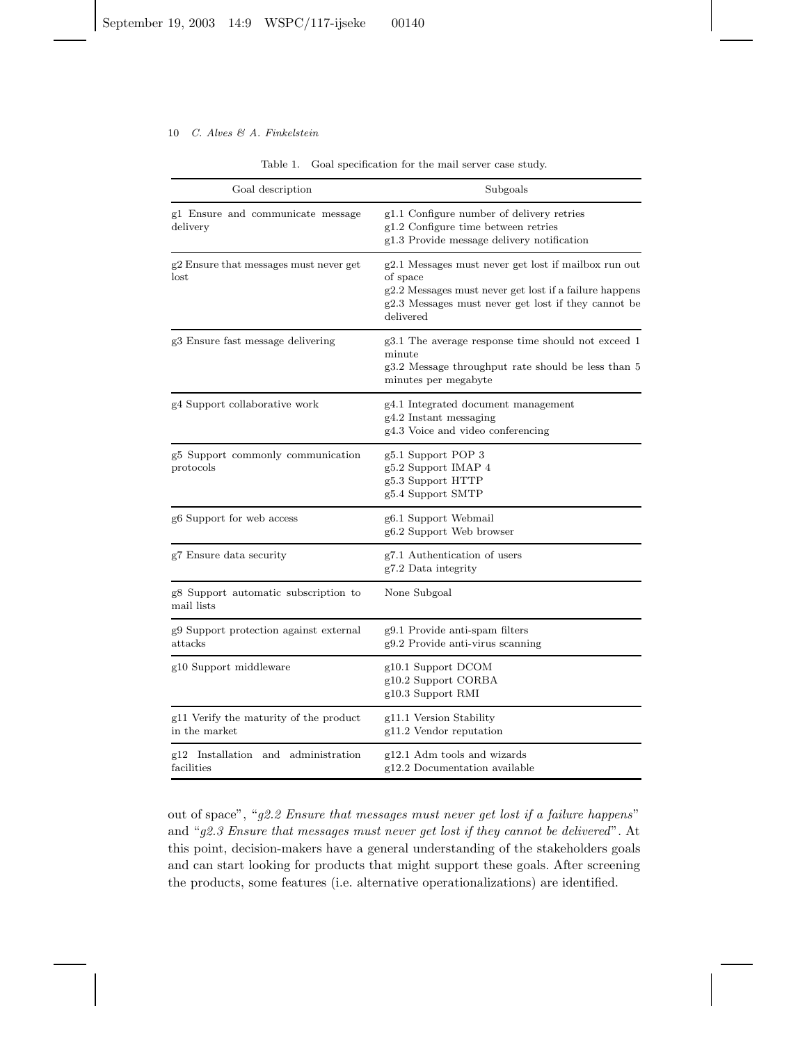|  |  | Table 1. Goal specification for the mail server case study. |  |  |  |  |  |  |
|--|--|-------------------------------------------------------------|--|--|--|--|--|--|
|--|--|-------------------------------------------------------------|--|--|--|--|--|--|

| Goal description                                        | Subgoals                                                                                                                                                                                       |
|---------------------------------------------------------|------------------------------------------------------------------------------------------------------------------------------------------------------------------------------------------------|
| g1 Ensure and communicate message<br>delivery           | g1.1 Configure number of delivery retries<br>g1.2 Configure time between retries<br>g1.3 Provide message delivery notification                                                                 |
| g2 Ensure that messages must never get<br>lost          | g2.1 Messages must never get lost if mailbox run out<br>of space<br>g2.2 Messages must never get lost if a failure happens<br>g2.3 Messages must never get lost if they cannot be<br>delivered |
| g3 Ensure fast message delivering                       | g3.1 The average response time should not exceed 1<br>minute<br>g3.2 Message throughput rate should be less than 5<br>minutes per megabyte                                                     |
| g4 Support collaborative work                           | g4.1 Integrated document management<br>g4.2 Instant messaging<br>g4.3 Voice and video conferencing                                                                                             |
| g5 Support commonly communication<br>protocols          | g5.1 Support POP 3<br>g5.2 Support IMAP 4<br>g5.3 Support HTTP<br>g5.4 Support SMTP                                                                                                            |
| g6 Support for web access                               | g6.1 Support Webmail<br>g6.2 Support Web browser                                                                                                                                               |
| g7 Ensure data security                                 | g7.1 Authentication of users<br>g7.2 Data integrity                                                                                                                                            |
| g8 Support automatic subscription to<br>mail lists      | None Subgoal                                                                                                                                                                                   |
| g9 Support protection against external<br>attacks       | g9.1 Provide anti-spam filters<br>g9.2 Provide anti-virus scanning                                                                                                                             |
| g10 Support middleware                                  | g10.1 Support DCOM<br>g10.2 Support CORBA<br>g10.3 Support RMI                                                                                                                                 |
| g11 Verify the maturity of the product<br>in the market | g11.1 Version Stability<br>$g11.2$ Vendor reputation                                                                                                                                           |
| g12 Installation and administration<br>facilities       | g12.1 Adm tools and wizards<br>g12.2 Documentation available                                                                                                                                   |

out of space", "g2.2 Ensure that messages must never get lost if a failure happens" and "g2.3 Ensure that messages must never get lost if they cannot be delivered". At this point, decision-makers have a general understanding of the stakeholders goals and can start looking for products that might support these goals. After screening the products, some features (i.e. alternative operationalizations) are identified.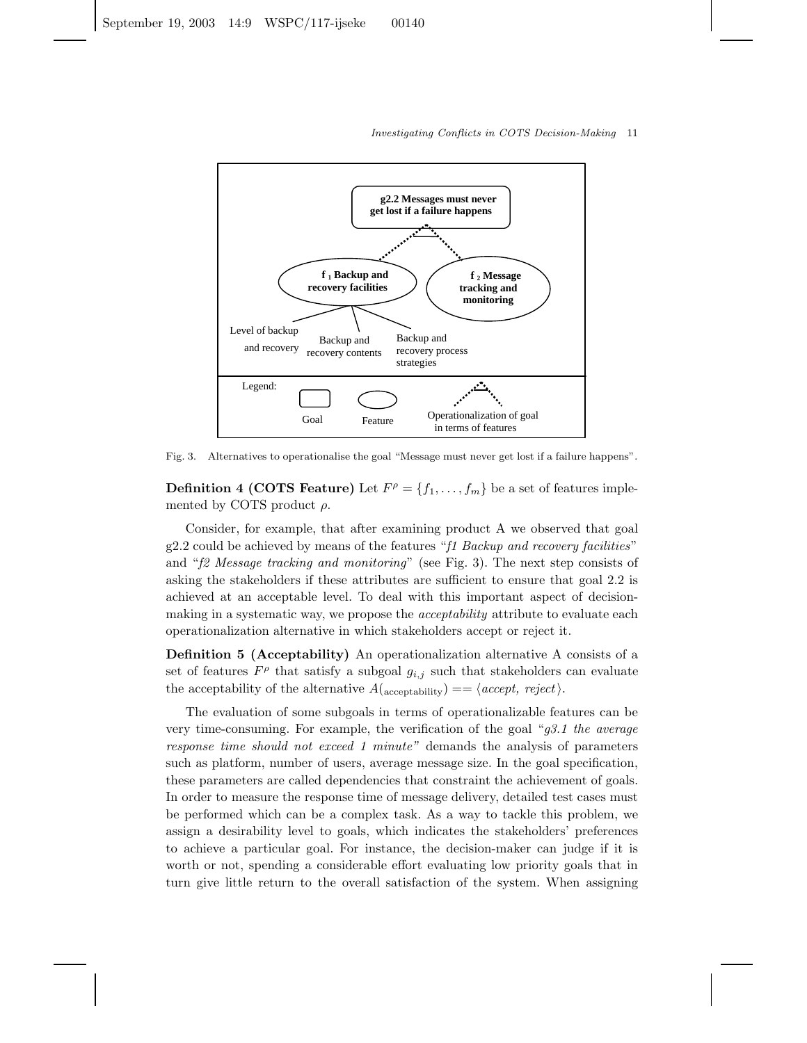

Fig. 3. Alternatives to operationalise the goal "Message must never get lost if a failure happens" Fig. 3. Alternatives to operationalise the goal "Message must never get lost if a failure happens".

**Definition 4 (COTS Feature)** Let  $F^{\rho} = \{f_1, \ldots, f_m\}$  be a set of features implemented by COTS product  $\rho$ .

*time should not exceed 1 minute"* demands the analysis of parameters such as Consider, for example, that after examining product  $A$  we observed that goal specification, the goal specification, the goal specification, the goal specification, the goal specification, the goal specification of the go  $g2.2$  could be achieved by means of the features "f1 Backup and recovery facilities" and " $f2$  Message tracking and monitoring" (see Fig. 3). The next step consists of asking the stakeholders if these attributes are sufficient to ensure that goal 2.2 is achieved at an acceptable level. To deal with this important aspect of decisionmaking in a systematic way, we propose the *acceptability* attribute to evaluate each operationalization alternative in which stakeholders accept or reject it. return to the overall satisfaction of the system. When assigning the desirability of

Definition 5 (Acceptability) An operationalization alternative A consists of a set of features  $F^{\rho}$  that satisfy a subgoal  $g_{i,j}$  such that stakeholders can evaluate the acceptability of the alternative  $A$ (acceptability) ==  $\langle accept, reject \rangle$ .

The evaluation of some subgoals in terms of operationalizable features can be very time-consuming. For example, the verification of the goal " $g3.1$  the average recy time consuming to champing the vermeation of the goal you the archiresponse time should not exceed 1 minute" demands the analysis of parameters these parameters are called dependencies that constraint the achievement of goals. understanding about the domain, it is very likely that interactions between  $\alpha$  between non-In order to measure the response time of message delivery, detailed test cases must be performed which can be a complex task. As a way to tackle this problem, we assign a desirability level to goals, which indicates the stakeholders' preferences to achieve a particular goal. For instance, the decision-maker can judge if it is worth or not, spending a considerable effort evaluating low priority goals that in turn give little return to the overall satisfaction of the system. When assigning such as platform, number of users, average message size. In the goal specification,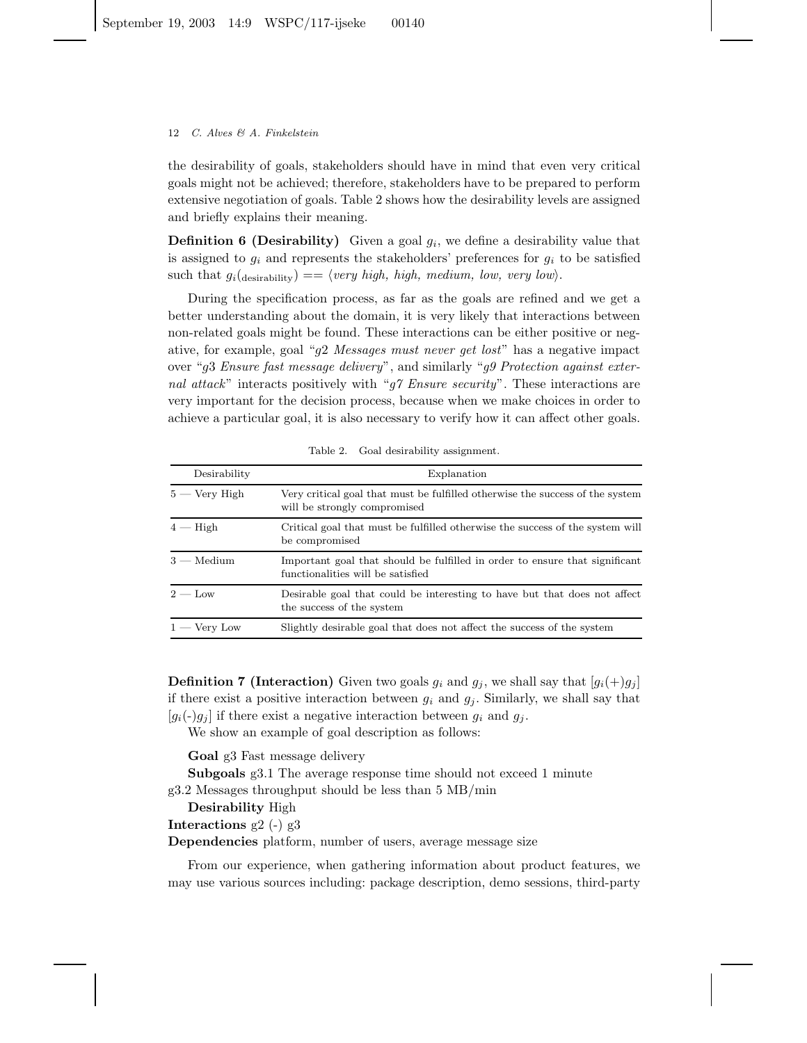the desirability of goals, stakeholders should have in mind that even very critical goals might not be achieved; therefore, stakeholders have to be prepared to perform extensive negotiation of goals. Table 2 shows how the desirability levels are assigned and briefly explains their meaning.

**Definition 6 (Desirability)** Given a goal  $g_i$ , we define a desirability value that is assigned to  $g_i$  and represents the stakeholders' preferences for  $g_i$  to be satisfied such that  $g_i$ (desirability) ==  $\langle very\ high,\ high,\ medium,\ low,\ very\ low\rangle$ .

During the specification process, as far as the goals are refined and we get a better understanding about the domain, it is very likely that interactions between non-related goals might be found. These interactions can be either positive or negative, for example, goal "g2 Messages must never get lost" has a negative impact over "g3 Ensure fast message delivery", and similarly "g9 Protection against external attack" interacts positively with "g7 Ensure security". These interactions are very important for the decision process, because when we make choices in order to achieve a particular goal, it is also necessary to verify how it can affect other goals.

| Desirability    | Explanation                                                                                                      |  |  |  |
|-----------------|------------------------------------------------------------------------------------------------------------------|--|--|--|
| $5 -$ Very High | Very critical goal that must be fulfilled otherwise the success of the system<br>will be strongly compromised    |  |  |  |
| $4$ — High      | Critical goal that must be fulfilled otherwise the success of the system will<br>be compromised                  |  |  |  |
| $3 -$ Medium    | Important goal that should be fulfilled in order to ensure that significant<br>functionalities will be satisfied |  |  |  |
| $2 - Low$       | Desirable goal that could be interesting to have but that does not affect<br>the success of the system           |  |  |  |
| $1 -$ Very Low  | Slightly desirable goal that does not affect the success of the system                                           |  |  |  |

Table 2. Goal desirability assignment.

**Definition 7 (Interaction)** Given two goals  $g_i$  and  $g_j$ , we shall say that  $[g_i(+)g_j]$ if there exist a positive interaction between  $g_i$  and  $g_j$ . Similarly, we shall say that  $[g_i(-)g_j]$  if there exist a negative interaction between  $g_i$  and  $g_j$ .

We show an example of goal description as follows:

Goal g3 Fast message delivery

Subgoals g3.1 The average response time should not exceed 1 minute

g3.2 Messages throughput should be less than 5 MB/min

Desirability High

Interactions  $g2$  (-)  $g3$ 

Dependencies platform, number of users, average message size

From our experience, when gathering information about product features, we may use various sources including: package description, demo sessions, third-party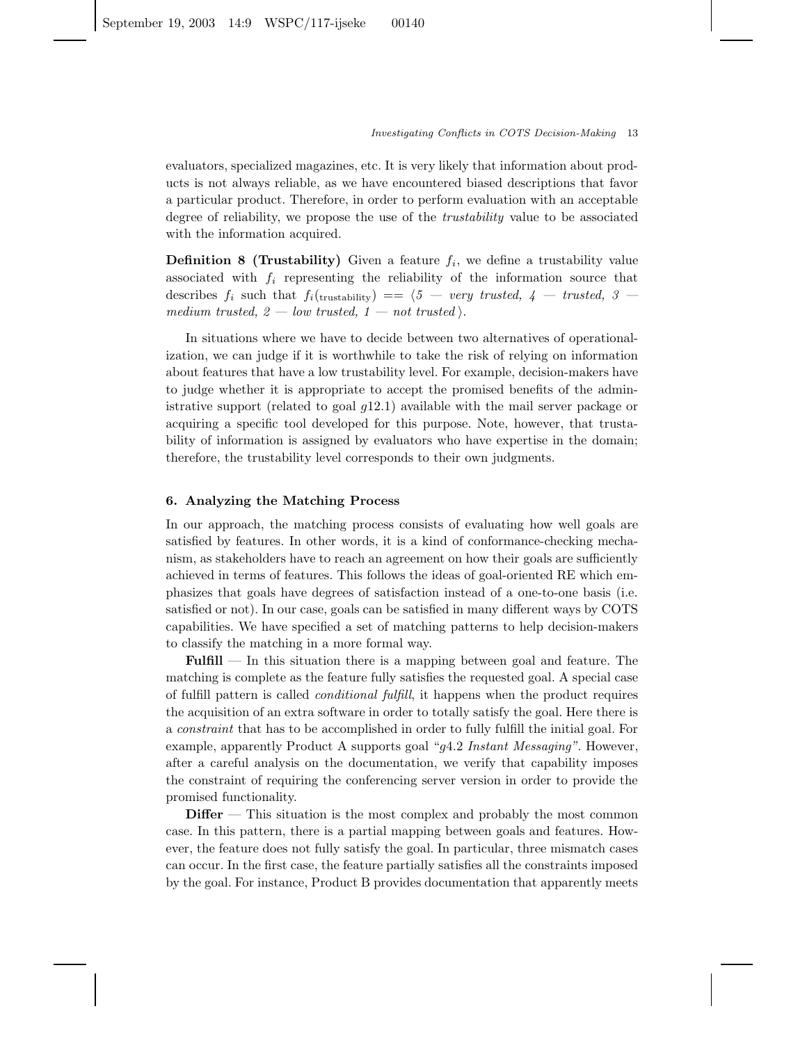evaluators, specialized magazines, etc. It is very likely that information about products is not always reliable, as we have encountered biased descriptions that favor a particular product. Therefore, in order to perform evaluation with an acceptable degree of reliability, we propose the use of the trustability value to be associated with the information acquired.

**Definition 8 (Trustability)** Given a feature  $f_i$ , we define a trustability value associated with  $f_i$  representing the reliability of the information source that describes  $f_i$  such that  $f_i$ (trustability) ==  $\langle 5 - very$  trusted, 4 — trusted, 3 medium trusted,  $2 - low$  trusted,  $1 - not$  trusted).

In situations where we have to decide between two alternatives of operationalization, we can judge if it is worthwhile to take the risk of relying on information about features that have a low trustability level. For example, decision-makers have to judge whether it is appropriate to accept the promised benefits of the administrative support (related to goal g12.1) available with the mail server package or acquiring a specific tool developed for this purpose. Note, however, that trustability of information is assigned by evaluators who have expertise in the domain; therefore, the trustability level corresponds to their own judgments.

## 6. Analyzing the Matching Process

In our approach, the matching process consists of evaluating how well goals are satisfied by features. In other words, it is a kind of conformance-checking mechanism, as stakeholders have to reach an agreement on how their goals are sufficiently achieved in terms of features. This follows the ideas of goal-oriented RE which emphasizes that goals have degrees of satisfaction instead of a one-to-one basis (i.e. satisfied or not). In our case, goals can be satisfied in many different ways by COTS capabilities. We have specified a set of matching patterns to help decision-makers to classify the matching in a more formal way.

**Fulfill** — In this situation there is a mapping between goal and feature. The matching is complete as the feature fully satisfies the requested goal. A special case of fulfill pattern is called conditional fulfill, it happens when the product requires the acquisition of an extra software in order to totally satisfy the goal. Here there is a constraint that has to be accomplished in order to fully fulfill the initial goal. For example, apparently Product A supports goal "g4.2 Instant Messaging". However, after a careful analysis on the documentation, we verify that capability imposes the constraint of requiring the conferencing server version in order to provide the promised functionality.

Differ — This situation is the most complex and probably the most common case. In this pattern, there is a partial mapping between goals and features. However, the feature does not fully satisfy the goal. In particular, three mismatch cases can occur. In the first case, the feature partially satisfies all the constraints imposed by the goal. For instance, Product B provides documentation that apparently meets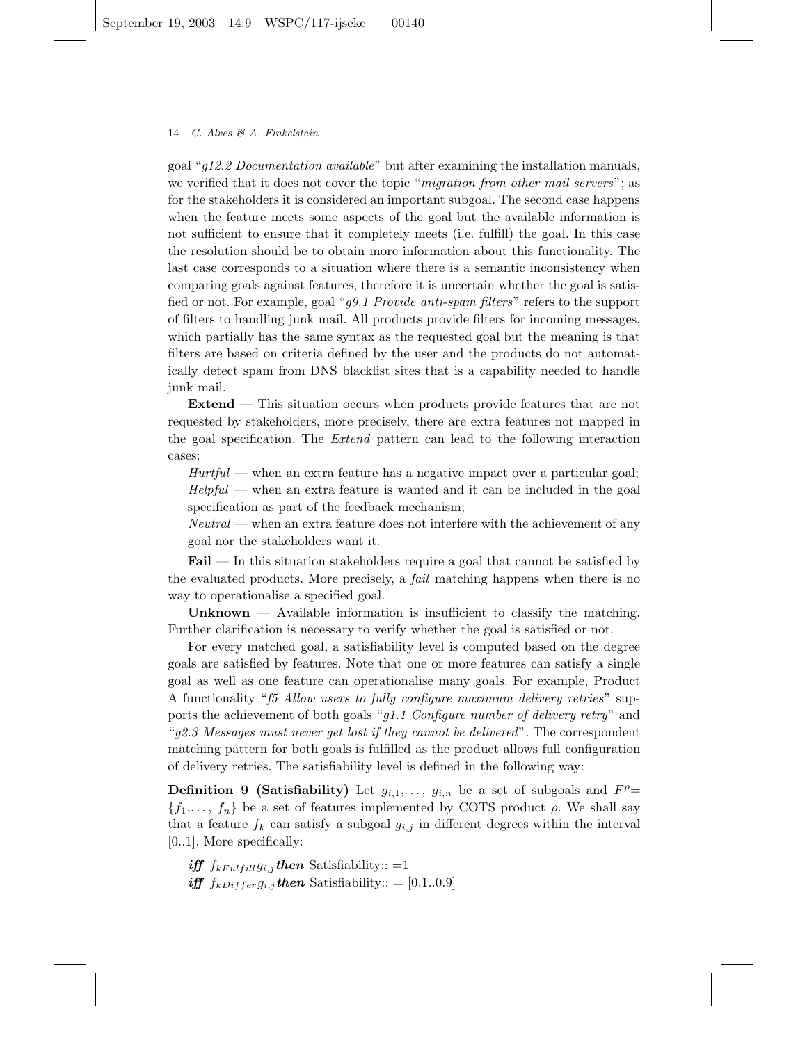goal " $g12.2$  Documentation available" but after examining the installation manuals, we verified that it does not cover the topic "migration from other mail servers"; as for the stakeholders it is considered an important subgoal. The second case happens when the feature meets some aspects of the goal but the available information is not sufficient to ensure that it completely meets (i.e. fulfill) the goal. In this case the resolution should be to obtain more information about this functionality. The last case corresponds to a situation where there is a semantic inconsistency when comparing goals against features, therefore it is uncertain whether the goal is satisfied or not. For example, goal "g9.1 Provide anti-spam filters" refers to the support of filters to handling junk mail. All products provide filters for incoming messages, which partially has the same syntax as the requested goal but the meaning is that filters are based on criteria defined by the user and the products do not automatically detect spam from DNS blacklist sites that is a capability needed to handle junk mail.

Extend — This situation occurs when products provide features that are not requested by stakeholders, more precisely, there are extra features not mapped in the goal specification. The Extend pattern can lead to the following interaction cases:

 $Hurtful$  — when an extra feature has a negative impact over a particular goal;  $Helpful$  — when an extra feature is wanted and it can be included in the goal specification as part of the feedback mechanism;

 $Neutral$  — when an extra feature does not interfere with the achievement of any goal nor the stakeholders want it.

Fail — In this situation stakeholders require a goal that cannot be satisfied by the evaluated products. More precisely, a fail matching happens when there is no way to operationalise a specified goal.

Unknown  $-$  Available information is insufficient to classify the matching. Further clarification is necessary to verify whether the goal is satisfied or not.

For every matched goal, a satisfiability level is computed based on the degree goals are satisfied by features. Note that one or more features can satisfy a single goal as well as one feature can operationalise many goals. For example, Product A functionality "f5 Allow users to fully configure maximum delivery retries" supports the achievement of both goals "g1.1 Configure number of delivery retry" and "g2.3 Messages must never get lost if they cannot be delivered". The correspondent matching pattern for both goals is fulfilled as the product allows full configuration of delivery retries. The satisfiability level is defined in the following way:

**Definition 9 (Satisfiability)** Let  $g_{i,1},..., g_{i,n}$  be a set of subgoals and  $F^{\rho} =$  ${f_1,\ldots,f_n}$  be a set of features implemented by COTS product  $\rho$ . We shall say that a feature  $f_k$  can satisfy a subgoal  $g_{i,j}$  in different degrees within the interval [0..1]. More specifically:

iff  $f_{kFulfill}g_{i,j}$  then Satisfiability:: =1 iff  $f_{kDiffer}g_{i,j}$  then Satisfiability:: = [0.1..0.9]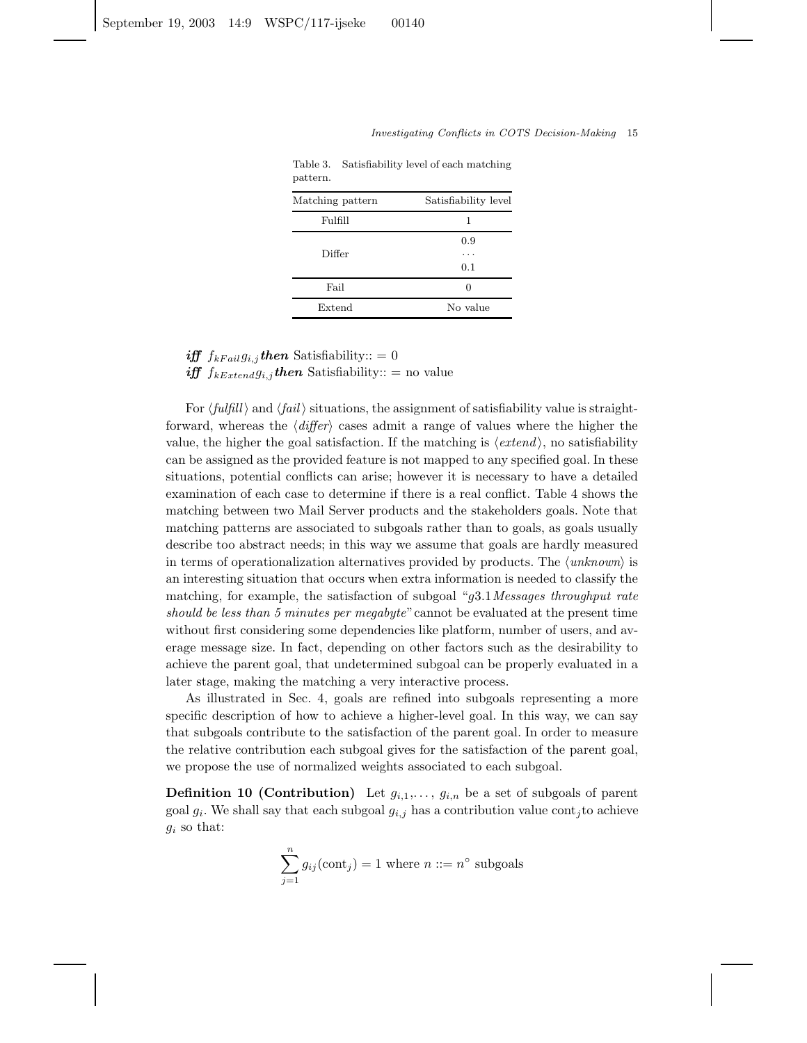Table 3. Satisfiability level of each matching pattern.

| Matching pattern | Satisfiability level |  |  |
|------------------|----------------------|--|--|
| Fulfill          | 1                    |  |  |
| Differ           | 0.9<br>0.1           |  |  |
| Fail             | 0                    |  |  |
| Extend           | No value             |  |  |

iff  $f_{kFail}g_{i,j}$  then Satisfiability:: = 0

iff  $f_{kExtend}g_{i,j}$  then Satisfiability:: = no value

For  $\langle \text{fullfull} \rangle$  and  $\langle \text{fail} \rangle$  situations, the assignment of satisfiability value is straightforward, whereas the  $\langle \textit{differ} \rangle$  cases admit a range of values where the higher the value, the higher the goal satisfaction. If the matching is  $\langle extend \rangle$ , no satisfiability can be assigned as the provided feature is not mapped to any specified goal. In these situations, potential conflicts can arise; however it is necessary to have a detailed examination of each case to determine if there is a real conflict. Table 4 shows the matching between two Mail Server products and the stakeholders goals. Note that matching patterns are associated to subgoals rather than to goals, as goals usually describe too abstract needs; in this way we assume that goals are hardly measured in terms of operationalization alternatives provided by products. The  $\langle unknown \rangle$  is an interesting situation that occurs when extra information is needed to classify the matching, for example, the satisfaction of subgoal " $q3.1$  Messages throughput rate should be less than 5 minutes per megabyte" cannot be evaluated at the present time without first considering some dependencies like platform, number of users, and average message size. In fact, depending on other factors such as the desirability to achieve the parent goal, that undetermined subgoal can be properly evaluated in a later stage, making the matching a very interactive process.

As illustrated in Sec. 4, goals are refined into subgoals representing a more specific description of how to achieve a higher-level goal. In this way, we can say that subgoals contribute to the satisfaction of the parent goal. In order to measure the relative contribution each subgoal gives for the satisfaction of the parent goal, we propose the use of normalized weights associated to each subgoal.

**Definition 10 (Contribution)** Let  $g_{i,1},\ldots,g_{i,n}$  be a set of subgoals of parent goal  $g_i$ . We shall say that each subgoal  $g_{i,j}$  has a contribution value cont<sub>j</sub> to achieve  $g_i$  so that:

$$
\sum_{j=1}^{n} g_{ij}(\text{cont}_j) = 1 \text{ where } n ::= n^{\circ} \text{ subgoals}
$$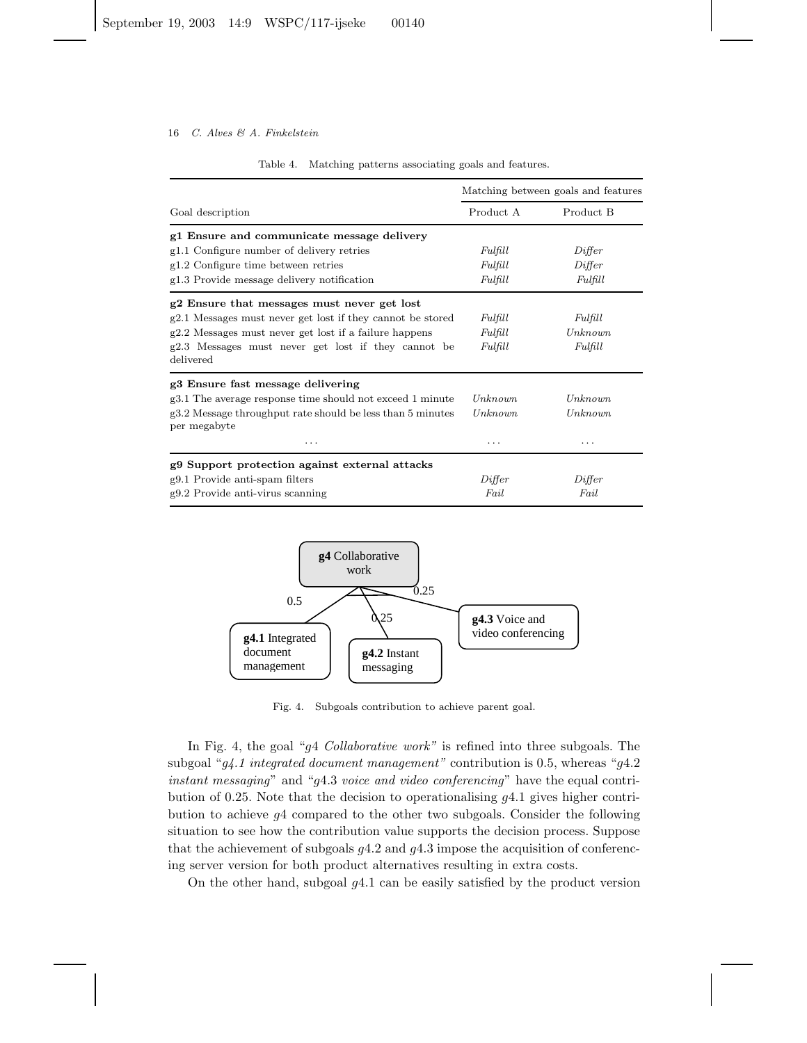Table 4. Matching patterns associating goals and features.

|                                                                            |           | Matching between goals and features |  |
|----------------------------------------------------------------------------|-----------|-------------------------------------|--|
| Goal description                                                           | Product A | Product B                           |  |
| g1 Ensure and communicate message delivery                                 |           |                                     |  |
| g1.1 Configure number of delivery retries                                  | Fulfill   | Different                           |  |
| g1.2 Configure time between retries                                        | Fulfill   | Different                           |  |
| g1.3 Provide message delivery notification                                 | Fulfill   | Fulfill                             |  |
| g2 Ensure that messages must never get lost                                |           |                                     |  |
| g2.1 Messages must never get lost if they cannot be stored                 | Fulfill   | Fulfill                             |  |
| g2.2 Messages must never get lost if a failure happens                     | Fulfill   | Unknown                             |  |
| g2.3 Messages must never get lost if they cannot be<br>delivered           | Fulfill   | Fulfill                             |  |
| g3 Ensure fast message delivering                                          |           |                                     |  |
| g3.1 The average response time should not exceed 1 minute                  | Unknown   | Unknown                             |  |
| g3.2 Message throughput rate should be less than 5 minutes<br>per megabyte | Unknown   | Unknown                             |  |
|                                                                            |           |                                     |  |
| g9 Support protection against external attacks                             |           |                                     |  |
| g9.1 Provide anti-spam filters                                             | Different | Different                           |  |
| g9.2 Provide anti-virus scanning                                           | Fail      | Fail                                |  |



Fig. 4. Subgoals contribution to achieve parent goal.

In Fig. 4, the goal "g4 Collaborative work" is refined into three subgoals. The subgoal "g4.1 integrated document management" contribution is 0.5, whereas "g4.2" instant messaging" and "g4.3 voice and video conferencing" have the equal contribution of 0.25. Note that the decision to operationalising g4.1 gives higher contribution to achieve g4 compared to the other two subgoals. Consider the following situation to see how the contribution value supports the decision process. Suppose that the achievement of subgoals  $q4.2$  and  $q4.3$  impose the acquisition of conferencing server version for both product alternatives resulting in extra costs.

On the other hand, subgoal  $g4.1$  can be easily satisfied by the product version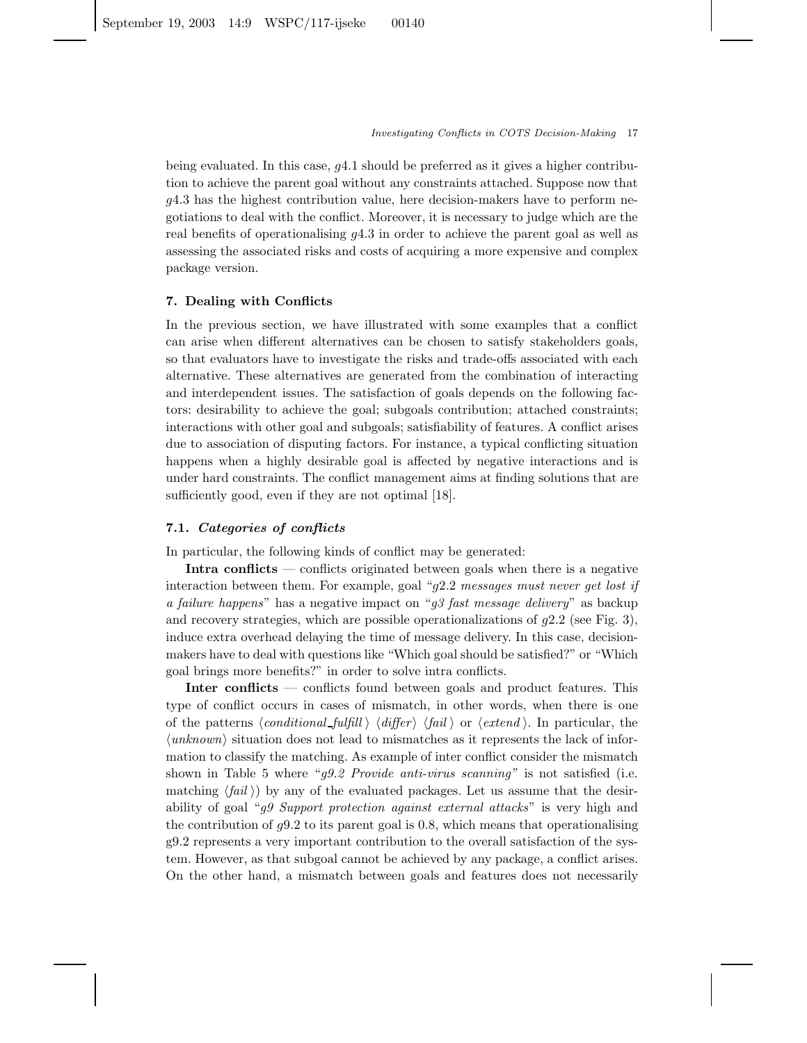being evaluated. In this case,  $g4.1$  should be preferred as it gives a higher contribution to achieve the parent goal without any constraints attached. Suppose now that g4.3 has the highest contribution value, here decision-makers have to perform negotiations to deal with the conflict. Moreover, it is necessary to judge which are the real benefits of operationalising g4.3 in order to achieve the parent goal as well as assessing the associated risks and costs of acquiring a more expensive and complex package version.

### 7. Dealing with Conflicts

In the previous section, we have illustrated with some examples that a conflict can arise when different alternatives can be chosen to satisfy stakeholders goals, so that evaluators have to investigate the risks and trade-offs associated with each alternative. These alternatives are generated from the combination of interacting and interdependent issues. The satisfaction of goals depends on the following factors: desirability to achieve the goal; subgoals contribution; attached constraints; interactions with other goal and subgoals; satisfiability of features. A conflict arises due to association of disputing factors. For instance, a typical conflicting situation happens when a highly desirable goal is affected by negative interactions and is under hard constraints. The conflict management aims at finding solutions that are sufficiently good, even if they are not optimal [18].

## 7.1. Categories of conflicts

In particular, the following kinds of conflict may be generated:

Intra conflicts — conflicts originated between goals when there is a negative interaction between them. For example, goal "g2.2 messages must never get lost if a failure happens" has a negative impact on " $q3$  fast message delivery" as backup and recovery strategies, which are possible operationalizations of  $g2.2$  (see Fig. 3), induce extra overhead delaying the time of message delivery. In this case, decisionmakers have to deal with questions like "Which goal should be satisfied?" or "Which goal brings more benefits?" in order to solve intra conflicts.

Inter conflicts — conflicts found between goals and product features. This type of conflict occurs in cases of mismatch, in other words, when there is one of the patterns  $\langle conditional_fulfill\rangle \langle differ \rangle \langle fail\rangle$  or  $\langle extend \rangle$ . In particular, the  $\langle unknown \rangle$  situation does not lead to mismatches as it represents the lack of information to classify the matching. As example of inter conflict consider the mismatch shown in Table 5 where " $q9.2$  *Provide anti-virus scanning*" is not satisfied (i.e. matching  $\langle fail \rangle$  by any of the evaluated packages. Let us assume that the desirability of goal "g9 Support protection against external attacks" is very high and the contribution of  $q9.2$  to its parent goal is 0.8, which means that operationalising g9.2 represents a very important contribution to the overall satisfaction of the system. However, as that subgoal cannot be achieved by any package, a conflict arises. On the other hand, a mismatch between goals and features does not necessarily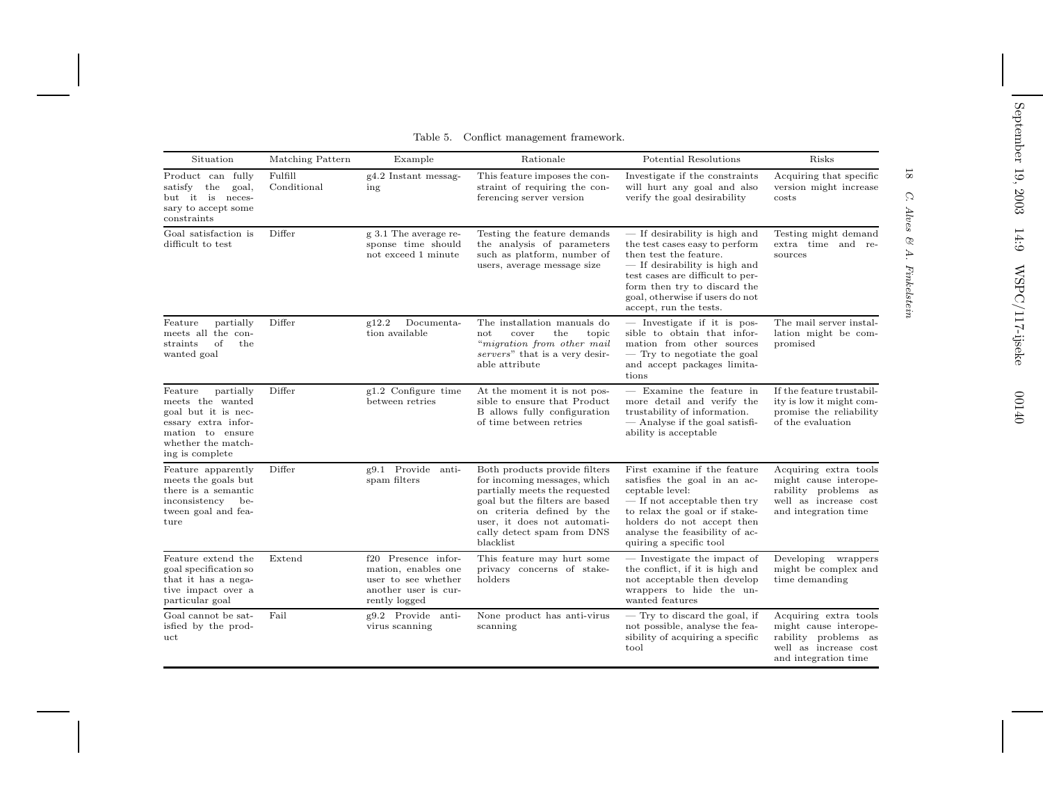| Situation                                                                                                                                           | Matching Pattern       | Example                                                                                                    | Rationale                                                                                                                                                                                                                                | Potential Resolutions                                                                                                                                                                                                                                                                                                                                                   | Risks                                                                                                                   |
|-----------------------------------------------------------------------------------------------------------------------------------------------------|------------------------|------------------------------------------------------------------------------------------------------------|------------------------------------------------------------------------------------------------------------------------------------------------------------------------------------------------------------------------------------------|-------------------------------------------------------------------------------------------------------------------------------------------------------------------------------------------------------------------------------------------------------------------------------------------------------------------------------------------------------------------------|-------------------------------------------------------------------------------------------------------------------------|
| Product can fully<br>satisfy the<br>goal,<br>but it is neces-<br>sary to accept some<br>constraints                                                 | Fulfill<br>Conditional | g4.2 Instant messag-<br>ing                                                                                | This feature imposes the con-<br>straint of requiring the con-<br>ferencing server version                                                                                                                                               | Investigate if the constraints<br>will hurt any goal and also<br>verify the goal desirability                                                                                                                                                                                                                                                                           | Acquiring that specific<br>version might increase<br>costs                                                              |
| Goal satisfaction is<br>difficult to test                                                                                                           | Differ                 | g 3.1 The average re-<br>sponse time should<br>not exceed 1 minute                                         | Testing the feature demands<br>the analysis of parameters<br>such as platform, number of<br>users, average message size                                                                                                                  | - If desirability is high and<br>the test cases easy to perform<br>then test the feature.<br>- If desirability is high and<br>test cases are difficult to per-<br>form then try to discard the<br>goal, otherwise if users do not<br>accept, run the tests.                                                                                                             | Testing might demand<br>extra time and re-<br>sources                                                                   |
| Feature<br>partially<br>meets all the con-<br>straints<br>of<br>the<br>wanted goal                                                                  | Differ                 | g12.2<br>Documenta-<br>tion available                                                                      | The installation manuals do<br>the<br>cover<br>topic<br>not<br>"migration from other mail<br>servers" that is a very desir-<br>able attribute                                                                                            | - Investigate if it is pos-<br>sible to obtain that infor-<br>mation from other sources<br>$-$ Try to negotiate the goal<br>and accept packages limita-<br>tions                                                                                                                                                                                                        | The mail server instal-<br>lation might be com-<br>promised                                                             |
| partially<br>Feature<br>meets the wanted<br>goal but it is nec-<br>essary extra infor-<br>mation to ensure<br>whether the match-<br>ing is complete | Differ                 | g1.2 Configure time<br>between retries                                                                     | At the moment it is not pos-<br>sible to ensure that Product<br>B allows fully configuration<br>of time between retries                                                                                                                  | - Examine the feature in<br>more detail and verify the<br>trustability of information.<br>- Analyse if the goal satisfi-<br>ability is acceptable                                                                                                                                                                                                                       | If the feature trustabil-<br>ity is low it might com-<br>promise the reliability<br>of the evaluation                   |
| Feature apparently<br>meets the goals but<br>there is a semantic<br>inconsistency<br>be-<br>tween goal and fea-<br>$_{\rm ture}$                    | Differ                 | g9.1 Provide<br>anti-<br>spam filters                                                                      | Both products provide filters<br>for incoming messages, which<br>partially meets the requested<br>goal but the filters are based<br>on criteria defined by the<br>user, it does not automati-<br>cally detect spam from DNS<br>blacklist | First examine if the feature<br>Acquiring extra tools<br>satisfies the goal in an ac-<br>might cause interope-<br>rability problems as<br>ceptable level:<br>- If not acceptable then try<br>well as increase cost<br>to relax the goal or if stake-<br>and integration time<br>holders do not accept then<br>analyse the feasibility of ac-<br>quiring a specific tool |                                                                                                                         |
| Feature extend the<br>goal specification so<br>that it has a nega-<br>tive impact over a<br>particular goal                                         | Extend                 | f20 Presence infor-<br>mation, enables one<br>user to see whether<br>another user is cur-<br>rently logged | This feature may hurt some<br>privacy concerns of stake-<br>holders                                                                                                                                                                      | - Investigate the impact of<br>the conflict, if it is high and<br>not acceptable then develop<br>wrappers to hide the un-<br>wanted features                                                                                                                                                                                                                            | Developing wrappers<br>might be complex and<br>time demanding                                                           |
| Goal cannot be sat-<br>isfied by the prod-<br>uct                                                                                                   | Fail                   | g9.2 Provide<br>anti-<br>virus scanning                                                                    | None product has anti-virus<br>scanning                                                                                                                                                                                                  | $-$ Try to discard the goal, if<br>not possible, analyse the fea-<br>sibility of acquiring a specific<br>tool                                                                                                                                                                                                                                                           | Acquiring extra tools<br>might cause interope-<br>rability problems as<br>well as increase cost<br>and integration time |

|  | Table 5. Conflict management framework. |  |
|--|-----------------------------------------|--|

18 C. Alves & A.

Finkelstein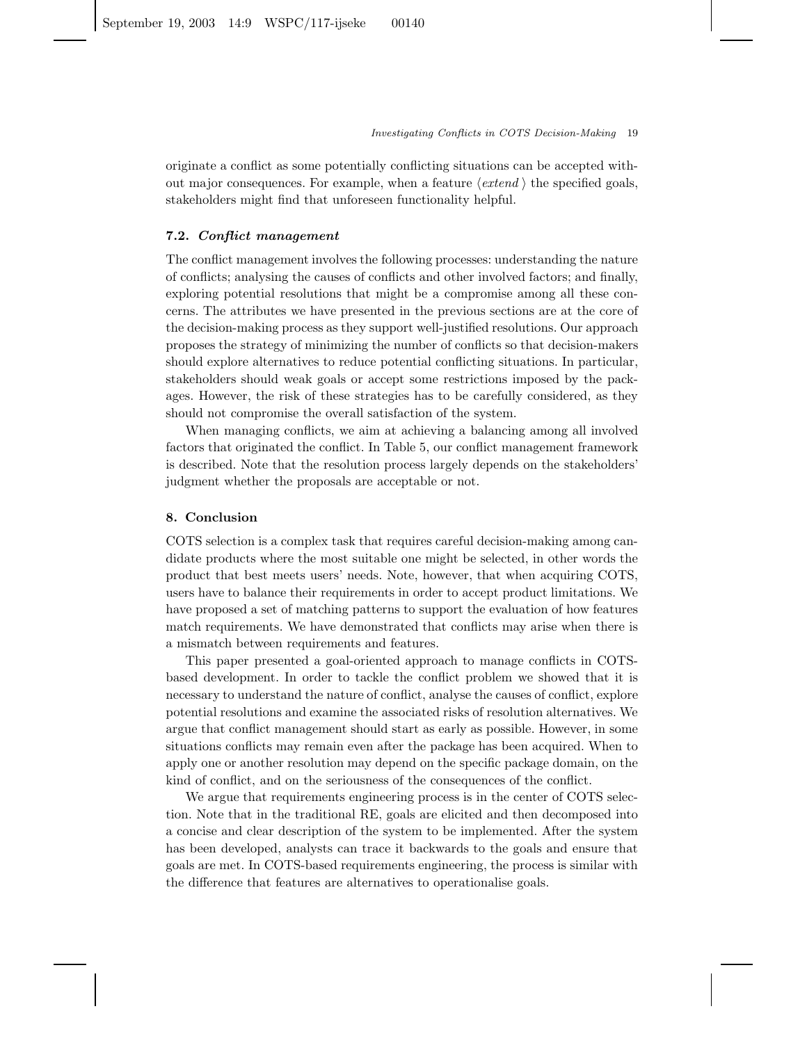originate a conflict as some potentially conflicting situations can be accepted without major consequences. For example, when a feature  $\langle extend \rangle$  the specified goals, stakeholders might find that unforeseen functionality helpful.

### 7.2. Conflict management

The conflict management involves the following processes: understanding the nature of conflicts; analysing the causes of conflicts and other involved factors; and finally, exploring potential resolutions that might be a compromise among all these concerns. The attributes we have presented in the previous sections are at the core of the decision-making process as they support well-justified resolutions. Our approach proposes the strategy of minimizing the number of conflicts so that decision-makers should explore alternatives to reduce potential conflicting situations. In particular, stakeholders should weak goals or accept some restrictions imposed by the packages. However, the risk of these strategies has to be carefully considered, as they should not compromise the overall satisfaction of the system.

When managing conflicts, we aim at achieving a balancing among all involved factors that originated the conflict. In Table 5, our conflict management framework is described. Note that the resolution process largely depends on the stakeholders' judgment whether the proposals are acceptable or not.

## 8. Conclusion

COTS selection is a complex task that requires careful decision-making among candidate products where the most suitable one might be selected, in other words the product that best meets users' needs. Note, however, that when acquiring COTS, users have to balance their requirements in order to accept product limitations. We have proposed a set of matching patterns to support the evaluation of how features match requirements. We have demonstrated that conflicts may arise when there is a mismatch between requirements and features.

This paper presented a goal-oriented approach to manage conflicts in COTSbased development. In order to tackle the conflict problem we showed that it is necessary to understand the nature of conflict, analyse the causes of conflict, explore potential resolutions and examine the associated risks of resolution alternatives. We argue that conflict management should start as early as possible. However, in some situations conflicts may remain even after the package has been acquired. When to apply one or another resolution may depend on the specific package domain, on the kind of conflict, and on the seriousness of the consequences of the conflict.

We argue that requirements engineering process is in the center of COTS selection. Note that in the traditional RE, goals are elicited and then decomposed into a concise and clear description of the system to be implemented. After the system has been developed, analysts can trace it backwards to the goals and ensure that goals are met. In COTS-based requirements engineering, the process is similar with the difference that features are alternatives to operationalise goals.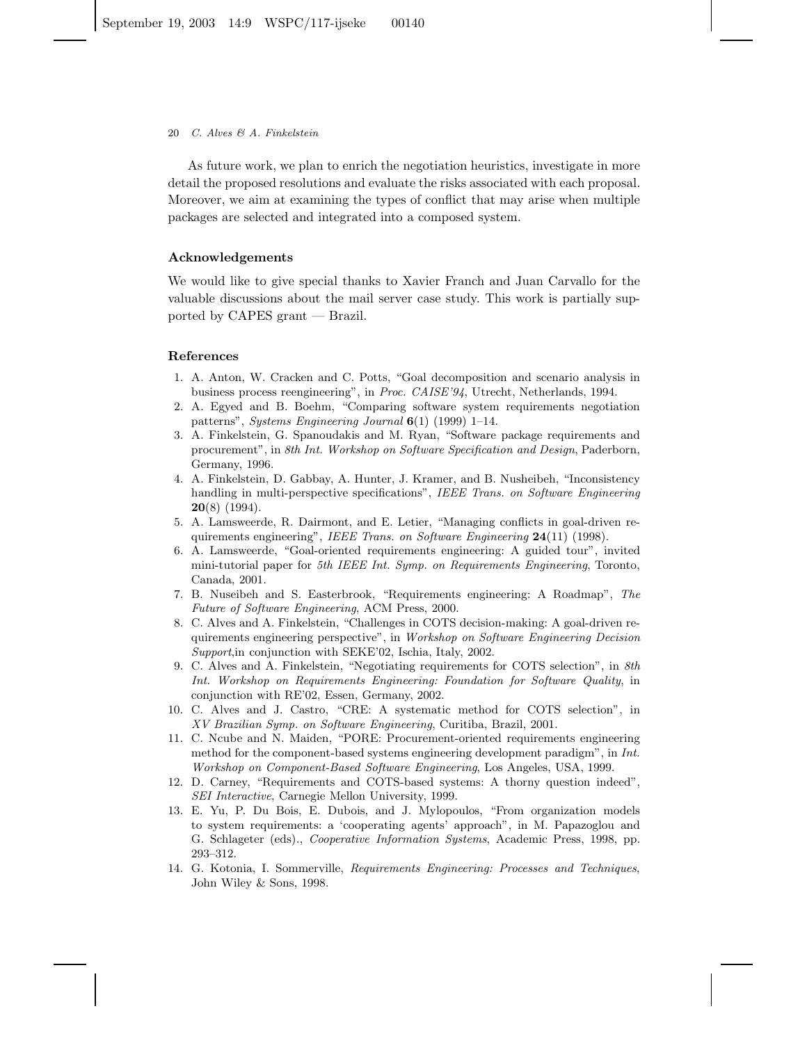As future work, we plan to enrich the negotiation heuristics, investigate in more detail the proposed resolutions and evaluate the risks associated with each proposal. Moreover, we aim at examining the types of conflict that may arise when multiple packages are selected and integrated into a composed system.

## Acknowledgements

We would like to give special thanks to Xavier Franch and Juan Carvallo for the valuable discussions about the mail server case study. This work is partially supported by CAPES grant — Brazil.

#### References

- 1. A. Anton, W. Cracken and C. Potts, "Goal decomposition and scenario analysis in business process reengineering", in Proc. CAISE'94, Utrecht, Netherlands, 1994.
- 2. A. Egyed and B. Boehm, "Comparing software system requirements negotiation patterns", Systems Engineering Journal  $6(1)$  (1999) 1–14.
- 3. A. Finkelstein, G. Spanoudakis and M. Ryan, "Software package requirements and procurement", in 8th Int. Workshop on Software Specification and Design, Paderborn, Germany, 1996.
- 4. A. Finkelstein, D. Gabbay, A. Hunter, J. Kramer, and B. Nusheibeh, "Inconsistency handling in multi-perspective specifications", IEEE Trans. on Software Engineering  $20(8)$  (1994).
- 5. A. Lamsweerde, R. Dairmont, and E. Letier, "Managing conflicts in goal-driven requirements engineering", IEEE Trans. on Software Engineering 24(11) (1998).
- 6. A. Lamsweerde, "Goal-oriented requirements engineering: A guided tour", invited mini-tutorial paper for 5th IEEE Int. Symp. on Requirements Engineering, Toronto, Canada, 2001.
- 7. B. Nuseibeh and S. Easterbrook, "Requirements engineering: A Roadmap", The Future of Software Engineering, ACM Press, 2000.
- 8. C. Alves and A. Finkelstein, "Challenges in COTS decision-making: A goal-driven requirements engineering perspective", in Workshop on Software Engineering Decision Support,in conjunction with SEKE'02, Ischia, Italy, 2002.
- 9. C. Alves and A. Finkelstein, "Negotiating requirements for COTS selection", in 8th Int. Workshop on Requirements Engineering: Foundation for Software Quality, in conjunction with RE'02, Essen, Germany, 2002.
- 10. C. Alves and J. Castro, "CRE: A systematic method for COTS selection", in XV Brazilian Symp. on Software Engineering, Curitiba, Brazil, 2001.
- 11. C. Ncube and N. Maiden, "PORE: Procurement-oriented requirements engineering method for the component-based systems engineering development paradigm", in Int. Workshop on Component-Based Software Engineering, Los Angeles, USA, 1999.
- 12. D. Carney, "Requirements and COTS-based systems: A thorny question indeed", SEI Interactive, Carnegie Mellon University, 1999.
- 13. E. Yu, P. Du Bois, E. Dubois, and J. Mylopoulos, "From organization models to system requirements: a 'cooperating agents' approach", in M. Papazoglou and G. Schlageter (eds)., Cooperative Information Systems, Academic Press, 1998, pp. 293–312.
- 14. G. Kotonia, I. Sommerville, Requirements Engineering: Processes and Techniques, John Wiley & Sons, 1998.